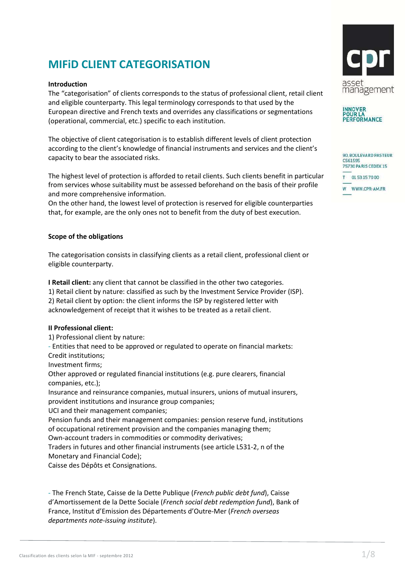# **MIFiD CLIENT CATEGORISATION**

#### **Introduction**

The "categorisation" of clients corresponds to the status of professional client, retail client and eligible counterparty. This legal terminology corresponds to that used by the European directive and French texts and overrides any classifications or segmentations (operational, commercial, etc.) specific to each institution.

The objective of client categorisation is to establish different levels of client protection according to the client's knowledge of financial instruments and services and the client's capacity to bear the associated risks.

The highest level of protection is afforded to retail clients. Such clients benefit in particular from services whose suitability must be assessed beforehand on the basis of their profile and more comprehensive information.

On the other hand, the lowest level of protection is reserved for eligible counterparties that, for example, are the only ones not to benefit from the duty of best execution.

#### **Scope of the obligations**

The categorisation consists in classifying clients as a retail client, professional client or eligible counterparty.

**I Retail client:** any client that cannot be classified in the other two categories. 1) Retail client by nature: classified as such by the Investment Service Provider (ISP). 2) Retail client by option: the client informs the ISP by registered letter with acknowledgement of receipt that it wishes to be treated as a retail client.

#### **II Professional client:**

1) Professional client by nature:

- Entities that need to be approved or regulated to operate on financial markets: Credit institutions;

Investment firms;

Other approved or regulated financial institutions (e.g. pure clearers, financial companies, etc.);

Insurance and reinsurance companies, mutual insurers, unions of mutual insurers, provident institutions and insurance group companies;

UCI and their management companies;

Pension funds and their management companies: pension reserve fund, institutions of occupational retirement provision and the companies managing them; Own-account traders in commodities or commodity derivatives;

Traders in futures and other financial instruments (see article L531-2, n of the Monetary and Financial Code);

Caisse des Dépôts et Consignations.

- The French State, Caisse de la Dette Publique (*French public debt fund*), Caisse d'Amortissement de la Dette Sociale (*French social debt redemption fund*), Bank of France, Institut d'Emission des Départements d'Outre-Mer (*French overseas departments note-issuing institute*).



ERFORMANCE

| 90, BOULEVARD PASTEUR<br>CS61595<br>75730 PARIS CEDEX 15 |                 |  |
|----------------------------------------------------------|-----------------|--|
| $\overline{\phantom{a}}$                                 | T 0153157000    |  |
|                                                          | W WWW.CPR-AM.FR |  |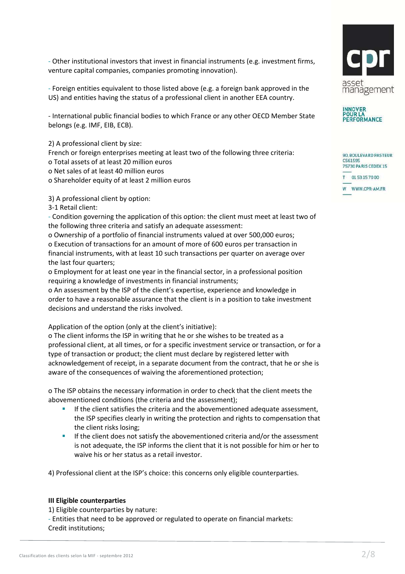- Other institutional investors that invest in financial instruments (e.g. investment firms, venture capital companies, companies promoting innovation).

- Foreign entities equivalent to those listed above (e.g. a foreign bank approved in the US) and entities having the status of a professional client in another EEA country.

- International public financial bodies to which France or any other OECD Member State belongs (e.g. IMF, EIB, ECB).

2) A professional client by size:

French or foreign enterprises meeting at least two of the following three criteria: o Total assets of at least 20 million euros

- o Net sales of at least 40 million euros
- o Shareholder equity of at least 2 million euros

3) A professional client by option:

3-1 Retail client:

- Condition governing the application of this option: the client must meet at least two of the following three criteria and satisfy an adequate assessment:

o Ownership of a portfolio of financial instruments valued at over 500,000 euros; o Execution of transactions for an amount of more of 600 euros per transaction in financial instruments, with at least 10 such transactions per quarter on average over the last four quarters;

o Employment for at least one year in the financial sector, in a professional position requiring a knowledge of investments in financial instruments;

o An assessment by the ISP of the client's expertise, experience and knowledge in order to have a reasonable assurance that the client is in a position to take investment decisions and understand the risks involved.

Application of the option (only at the client's initiative):

o The client informs the ISP in writing that he or she wishes to be treated as a professional client, at all times, or for a specific investment service or transaction, or for a type of transaction or product; the client must declare by registered letter with acknowledgement of receipt, in a separate document from the contract, that he or she is aware of the consequences of waiving the aforementioned protection;

o The ISP obtains the necessary information in order to check that the client meets the abovementioned conditions (the criteria and the assessment);

- If the client satisfies the criteria and the abovementioned adequate assessment, the ISP specifies clearly in writing the protection and rights to compensation that the client risks losing;
- **If the client does not satisfy the abovementioned criteria and/or the assessment** is not adequate, the ISP informs the client that it is not possible for him or her to waive his or her status as a retail investor.

4) Professional client at the ISP's choice: this concerns only eligible counterparties.

#### **III Eligible counterparties**

1) Eligible counterparties by nature:

- Entities that need to be approved or regulated to operate on financial markets: Credit institutions;



| 90, BOULEVARD PASTEUR<br>CS61595<br>75730 PARIS CEDEX 15 |
|----------------------------------------------------------|
| T 0153157000                                             |
| W WWW.CPR-AM.FR                                          |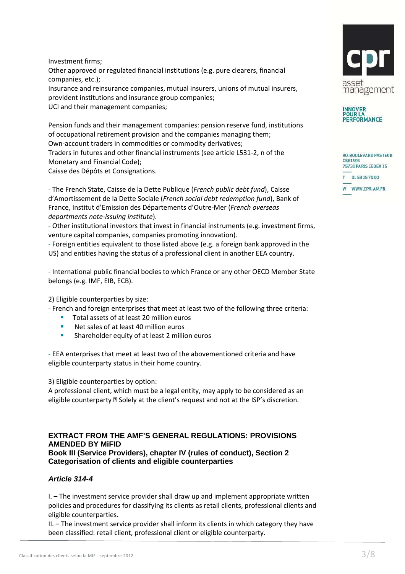Investment firms; Other approved or regulated financial institutions (e.g. pure clearers, financial companies, etc.); Insurance and reinsurance companies, mutual insurers, unions of mutual insurers, provident institutions and insurance group companies; UCI and their management companies;

Pension funds and their management companies: pension reserve fund, institutions of occupational retirement provision and the companies managing them; Own-account traders in commodities or commodity derivatives; Traders in futures and other financial instruments (see article L531-2, n of the Monetary and Financial Code); Caisse des Dépôts et Consignations.

- The French State, Caisse de la Dette Publique (*French public debt fund*), Caisse d'Amortissement de la Dette Sociale (*French social debt redemption fund*), Bank of France, Institut d'Emission des Départements d'Outre-Mer (*French overseas departments note-issuing institute*).

- Other institutional investors that invest in financial instruments (e.g. investment firms, venture capital companies, companies promoting innovation).

- Foreign entities equivalent to those listed above (e.g. a foreign bank approved in the US) and entities having the status of a professional client in another EEA country.

- International public financial bodies to which France or any other OECD Member State belongs (e.g. IMF, EIB, ECB).

2) Eligible counterparties by size:

- French and foreign enterprises that meet at least two of the following three criteria:
	- **Total assets of at least 20 million euros**
	- **Net sales of at least 40 million euros**
	- **Shareholder equity of at least 2 million euros**

- EEA enterprises that meet at least two of the abovementioned criteria and have eligible counterparty status in their home country.

3) Eligible counterparties by option:

A professional client, which must be a legal entity, may apply to be considered as an eligible counterparty  $\mathbb B$  Solely at the client's request and not at the ISP's discretion.

### **EXTRACT FROM THE AMF'S GENERAL REGULATIONS: PROVISIONS AMENDED BY MiFID Book III (Service Providers), chapter IV (rules of conduct), Section 2 Categorisation of clients and eligible counterparties**

## **Article 314-4**

I. – The investment service provider shall draw up and implement appropriate written policies and procedures for classifying its clients as retail clients, professional clients and eligible counterparties.

II. – The investment service provider shall inform its clients in which category they have been classified: retail client, professional client or eligible counterparty.





|   | 90, BOULEVARD PASTEUR<br>CS61595<br>75730 PARIS CEDEX 15 |
|---|----------------------------------------------------------|
| - | T 0153157000                                             |
|   | W WWW.CPR-AM.FR                                          |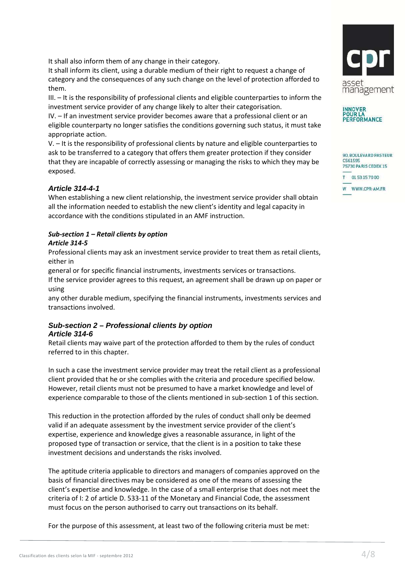It shall also inform them of any change in their category.

It shall inform its client, using a durable medium of their right to request a change of category and the consequences of any such change on the level of protection afforded to them.

III. – It is the responsibility of professional clients and eligible counterparties to inform the investment service provider of any change likely to alter their categorisation.

IV. – If an investment service provider becomes aware that a professional client or an eligible counterparty no longer satisfies the conditions governing such status, it must take appropriate action.

V. – It is the responsibility of professional clients by nature and eligible counterparties to ask to be transferred to a category that offers them greater protection if they consider that they are incapable of correctly assessing or managing the risks to which they may be exposed.

## **Article 314-4-1**

When establishing a new client relationship, the investment service provider shall obtain all the information needed to establish the new client's identity and legal capacity in accordance with the conditions stipulated in an AMF instruction.

## *Sub-section 1 – Retail clients by option*

## *Article 314-5*

Professional clients may ask an investment service provider to treat them as retail clients, either in

general or for specific financial instruments, investments services or transactions.

If the service provider agrees to this request, an agreement shall be drawn up on paper or using

any other durable medium, specifying the financial instruments, investments services and transactions involved.

## **Sub-section 2 – Professional clients by option Article 314-6**

Retail clients may waive part of the protection afforded to them by the rules of conduct referred to in this chapter.

In such a case the investment service provider may treat the retail client as a professional client provided that he or she complies with the criteria and procedure specified below. However, retail clients must not be presumed to have a market knowledge and level of experience comparable to those of the clients mentioned in sub-section 1 of this section.

This reduction in the protection afforded by the rules of conduct shall only be deemed valid if an adequate assessment by the investment service provider of the client's expertise, experience and knowledge gives a reasonable assurance, in light of the proposed type of transaction or service, that the client is in a position to take these investment decisions and understands the risks involved.

The aptitude criteria applicable to directors and managers of companies approved on the basis of financial directives may be considered as one of the means of assessing the client's expertise and knowledge. In the case of a small enterprise that does not meet the criteria of I: 2 of article D. 533-11 of the Monetary and Financial Code, the assessment must focus on the person authorised to carry out transactions on its behalf.

For the purpose of this assessment, at least two of the following criteria must be met:





**INNOVER**<br>POUR LA PERFORMANCE

| 75730 PARIS CEDEX 15<br>$\sim$ |                 |  |
|--------------------------------|-----------------|--|
|                                | T 0153157000    |  |
|                                | W WWW.CPR-AM.FR |  |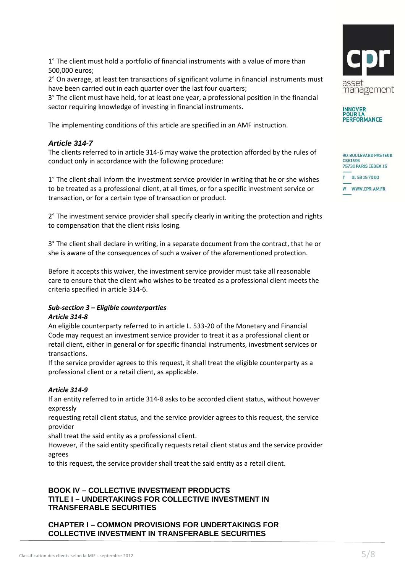1° The client must hold a portfolio of financial instruments with a value of more than 500,000 euros;

2° On average, at least ten transactions of significant volume in financial instruments must have been carried out in each quarter over the last four quarters;

3° The client must have held, for at least one year, a professional position in the financial sector requiring knowledge of investing in financial instruments.

The implementing conditions of this article are specified in an AMF instruction.

## **Article 314-7**

The clients referred to in article 314-6 may waive the protection afforded by the rules of conduct only in accordance with the following procedure:

1° The client shall inform the investment service provider in writing that he or she wishes to be treated as a professional client, at all times, or for a specific investment service or transaction, or for a certain type of transaction or product.

2° The investment service provider shall specify clearly in writing the protection and rights to compensation that the client risks losing.

3° The client shall declare in writing, in a separate document from the contract, that he or she is aware of the consequences of such a waiver of the aforementioned protection.

Before it accepts this waiver, the investment service provider must take all reasonable care to ensure that the client who wishes to be treated as a professional client meets the criteria specified in article 314-6.

## *Sub-section 3 – Eligible counterparties Article 314-8*

An eligible counterparty referred to in article L. 533-20 of the Monetary and Financial Code may request an investment service provider to treat it as a professional client or retail client, either in general or for specific financial instruments, investment services or transactions.

If the service provider agrees to this request, it shall treat the eligible counterparty as a professional client or a retail client, as applicable.

## *Article 314-9*

If an entity referred to in article 314-8 asks to be accorded client status, without however expressly

requesting retail client status, and the service provider agrees to this request, the service provider

shall treat the said entity as a professional client.

However, if the said entity specifically requests retail client status and the service provider agrees

to this request, the service provider shall treat the said entity as a retail client.

## **BOOK IV – COLLECTIVE INVESTMENT PRODUCTS TITLE I – UNDERTAKINGS FOR COLLECTIVE INVESTMENT IN TRANSFERABLE SECURITIES**

**CHAPTER I – COMMON PROVISIONS FOR UNDERTAKINGS FOR COLLECTIVE INVESTMENT IN TRANSFERABLE SECURITIES** 





| $\sim$ | 90, BOULEVARD PASTEUR<br>CS61595<br>75730 PARIS CEDEX 15 |
|--------|----------------------------------------------------------|
|        | T 0153157000                                             |
|        | WWW.CPR-AM.FR                                            |